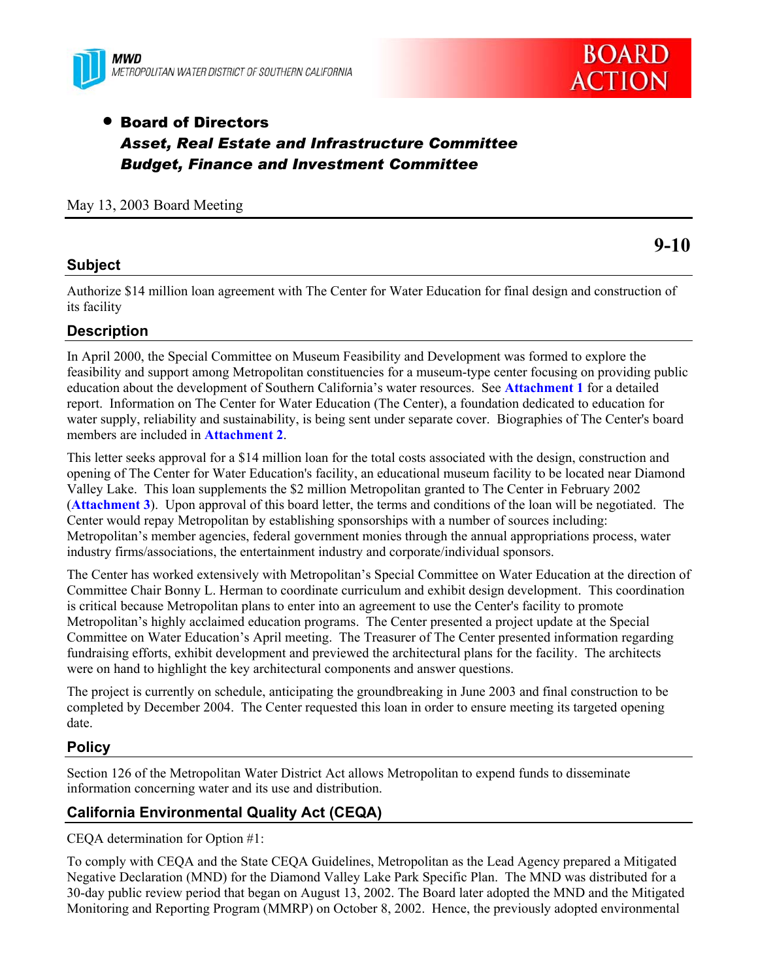



**9-10** 

# • Board of Directors *Asset, Real Estate and Infrastructure Committee Budget, Finance and Investment Committee*

May 13, 2003 Board Meeting

#### **Subject**

Authorize \$14 million loan agreement with The Center for Water Education for final design and construction of its facility

#### **Description**

In April 2000, the Special Committee on Museum Feasibility and Development was formed to explore the feasibility and support among Metropolitan constituencies for a museum-type center focusing on providing public education about the development of Southern California's water resources. See **Attachment 1** for a detailed report. Information on The Center for Water Education (The Center), a foundation dedicated to education for water supply, reliability and sustainability, is being sent under separate cover. Biographies of The Center's board members are included in **Attachment 2**.

This letter seeks approval for a \$14 million loan for the total costs associated with the design, construction and opening of The Center for Water Education's facility, an educational museum facility to be located near Diamond Valley Lake. This loan supplements the \$2 million Metropolitan granted to The Center in February 2002 (**Attachment 3**). Upon approval of this board letter, the terms and conditions of the loan will be negotiated. The Center would repay Metropolitan by establishing sponsorships with a number of sources including: Metropolitan's member agencies, federal government monies through the annual appropriations process, water industry firms/associations, the entertainment industry and corporate/individual sponsors.

The Center has worked extensively with Metropolitan's Special Committee on Water Education at the direction of Committee Chair Bonny L. Herman to coordinate curriculum and exhibit design development. This coordination is critical because Metropolitan plans to enter into an agreement to use the Center's facility to promote Metropolitan's highly acclaimed education programs. The Center presented a project update at the Special Committee on Water Education's April meeting. The Treasurer of The Center presented information regarding fundraising efforts, exhibit development and previewed the architectural plans for the facility. The architects were on hand to highlight the key architectural components and answer questions.

The project is currently on schedule, anticipating the groundbreaking in June 2003 and final construction to be completed by December 2004. The Center requested this loan in order to ensure meeting its targeted opening date.

#### **Policy**

Section 126 of the Metropolitan Water District Act allows Metropolitan to expend funds to disseminate information concerning water and its use and distribution.

#### **California Environmental Quality Act (CEQA)**

CEQA determination for Option #1:

To comply with CEQA and the State CEQA Guidelines, Metropolitan as the Lead Agency prepared a Mitigated Negative Declaration (MND) for the Diamond Valley Lake Park Specific Plan. The MND was distributed for a 30-day public review period that began on August 13, 2002. The Board later adopted the MND and the Mitigated Monitoring and Reporting Program (MMRP) on October 8, 2002. Hence, the previously adopted environmental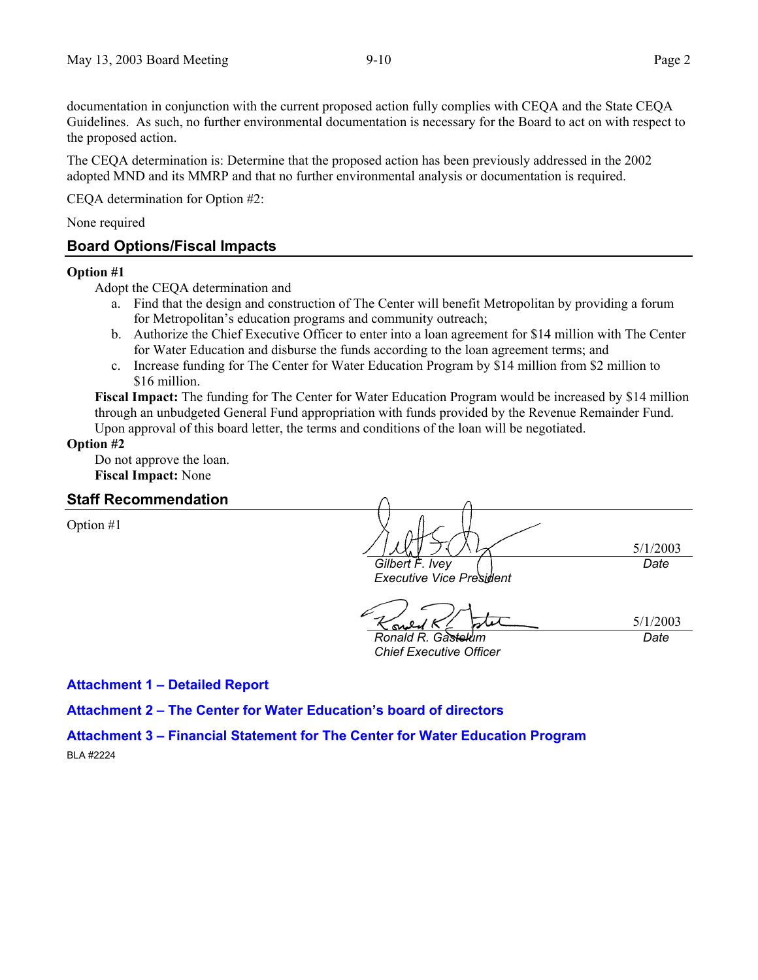documentation in conjunction with the current proposed action fully complies with CEQA and the State CEQA Guidelines. As such, no further environmental documentation is necessary for the Board to act on with respect to the proposed action.

The CEQA determination is: Determine that the proposed action has been previously addressed in the 2002 adopted MND and its MMRP and that no further environmental analysis or documentation is required.

CEQA determination for Option #2:

None required

#### **Board Options/Fiscal Impacts**

#### **Option #1**

Adopt the CEQA determination and

- a. Find that the design and construction of The Center will benefit Metropolitan by providing a forum for Metropolitan's education programs and community outreach;
- b. Authorize the Chief Executive Officer to enter into a loan agreement for \$14 million with The Center for Water Education and disburse the funds according to the loan agreement terms; and
- c. Increase funding for The Center for Water Education Program by \$14 million from \$2 million to \$16 million.

**Fiscal Impact:** The funding for The Center for Water Education Program would be increased by \$14 million through an unbudgeted General Fund appropriation with funds provided by the Revenue Remainder Fund. Upon approval of this board letter, the terms and conditions of the loan will be negotiated.

**Option #2** 

Do not approve the loan. **Fiscal Impact:** None

#### **Staff Recommendation**

Option #1

5/1/2003 *Gilbert F. Ivey Date*

*Executive Vice President* 

5/1/2003

*Ronald R. Gastelum Chief Executive Officer* 

*Date*

**Attachment 1 – Detailed Report** 

**Attachment 2 – The Center for Water Education's board of directors** 

**Attachment 3 – Financial Statement for The Center for Water Education Program**  BLA #2224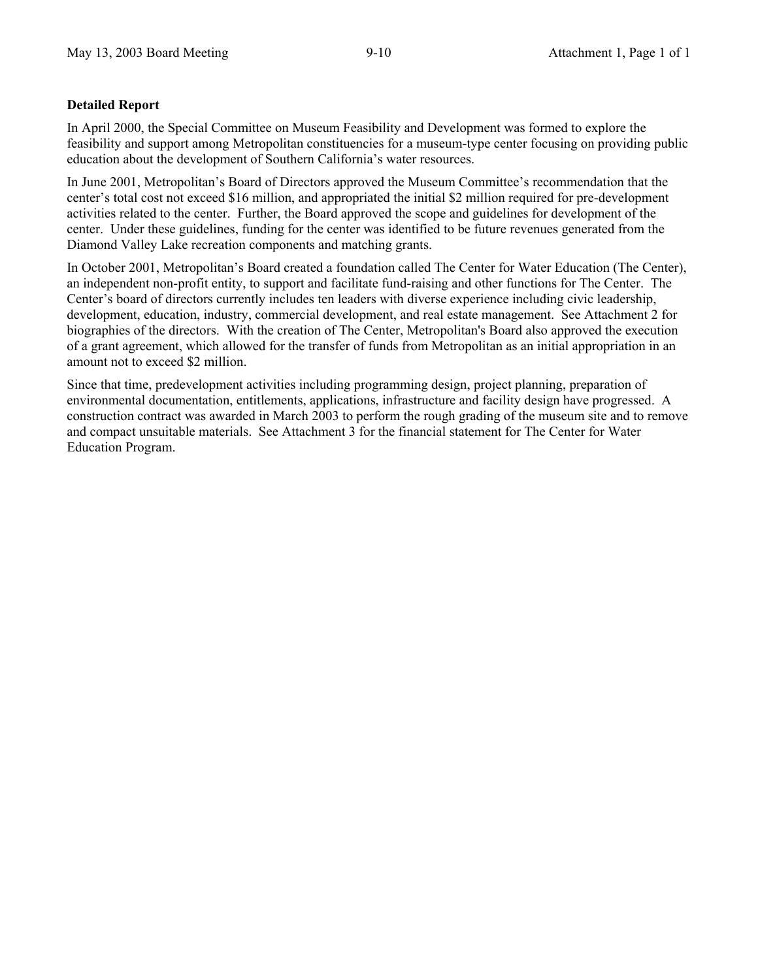#### **Detailed Report**

In April 2000, the Special Committee on Museum Feasibility and Development was formed to explore the feasibility and support among Metropolitan constituencies for a museum-type center focusing on providing public education about the development of Southern California's water resources.

In June 2001, Metropolitan's Board of Directors approved the Museum Committee's recommendation that the center's total cost not exceed \$16 million, and appropriated the initial \$2 million required for pre-development activities related to the center. Further, the Board approved the scope and guidelines for development of the center. Under these guidelines, funding for the center was identified to be future revenues generated from the Diamond Valley Lake recreation components and matching grants.

In October 2001, Metropolitan's Board created a foundation called The Center for Water Education (The Center), an independent non-profit entity, to support and facilitate fund-raising and other functions for The Center. The Center's board of directors currently includes ten leaders with diverse experience including civic leadership, development, education, industry, commercial development, and real estate management. See Attachment 2 for biographies of the directors. With the creation of The Center, Metropolitan's Board also approved the execution of a grant agreement, which allowed for the transfer of funds from Metropolitan as an initial appropriation in an amount not to exceed \$2 million.

Since that time, predevelopment activities including programming design, project planning, preparation of environmental documentation, entitlements, applications, infrastructure and facility design have progressed. A construction contract was awarded in March 2003 to perform the rough grading of the museum site and to remove and compact unsuitable materials. See Attachment 3 for the financial statement for The Center for Water Education Program.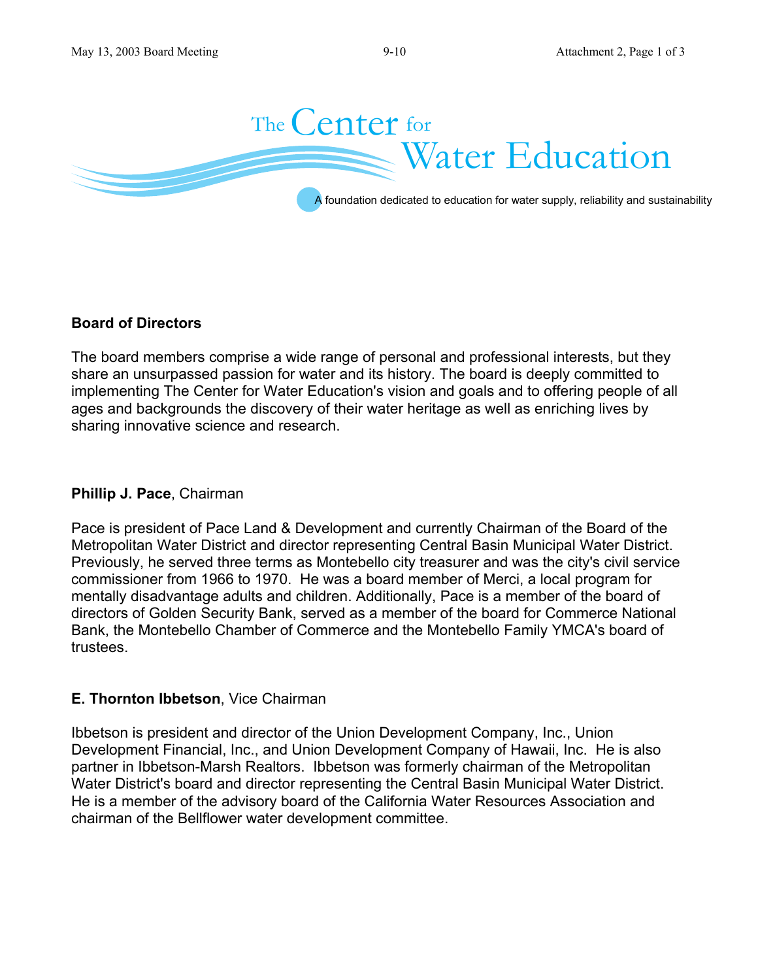

### **Board of Directors**

The board members comprise a wide range of personal and professional interests, but they share an unsurpassed passion for water and its history. The board is deeply committed to implementing The Center for Water Education's vision and goals and to offering people of all ages and backgrounds the discovery of their water heritage as well as enriching lives by sharing innovative science and research.

### **Phillip J. Pace**, Chairman

Pace is president of Pace Land & Development and currently Chairman of the Board of the Metropolitan Water District and director representing Central Basin Municipal Water District. Previously, he served three terms as Montebello city treasurer and was the city's civil service commissioner from 1966 to 1970. He was a board member of Merci, a local program for mentally disadvantage adults and children. Additionally, Pace is a member of the board of directors of Golden Security Bank, served as a member of the board for Commerce National Bank, the Montebello Chamber of Commerce and the Montebello Family YMCA's board of trustees.

#### **E. Thornton Ibbetson**, Vice Chairman

Ibbetson is president and director of the Union Development Company, Inc., Union Development Financial, Inc., and Union Development Company of Hawaii, Inc. He is also partner in Ibbetson-Marsh Realtors. Ibbetson was formerly chairman of the Metropolitan Water District's board and director representing the Central Basin Municipal Water District. He is a member of the advisory board of the California Water Resources Association and chairman of the Bellflower water development committee.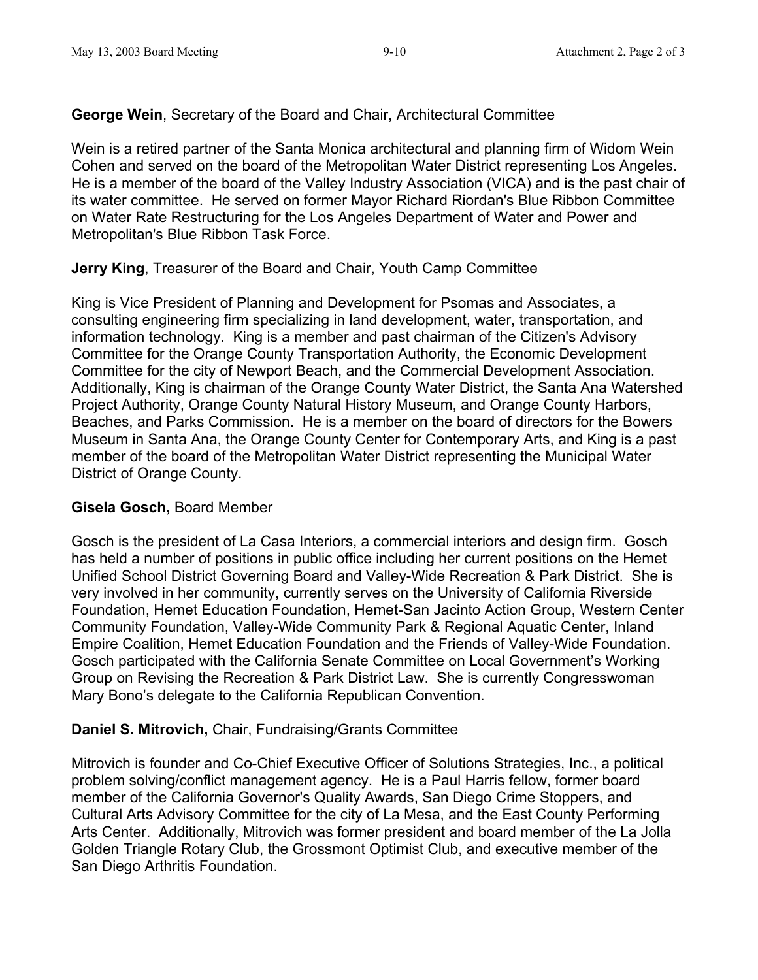## **George Wein**, Secretary of the Board and Chair, Architectural Committee

Wein is a retired partner of the Santa Monica architectural and planning firm of Widom Wein Cohen and served on the board of the Metropolitan Water District representing Los Angeles. He is a member of the board of the Valley Industry Association (VICA) and is the past chair of its water committee. He served on former Mayor Richard Riordan's Blue Ribbon Committee on Water Rate Restructuring for the Los Angeles Department of Water and Power and Metropolitan's Blue Ribbon Task Force.

## **Jerry King**, Treasurer of the Board and Chair, Youth Camp Committee

King is Vice President of Planning and Development for Psomas and Associates, a consulting engineering firm specializing in land development, water, transportation, and information technology. King is a member and past chairman of the Citizen's Advisory Committee for the Orange County Transportation Authority, the Economic Development Committee for the city of Newport Beach, and the Commercial Development Association. Additionally, King is chairman of the Orange County Water District, the Santa Ana Watershed Project Authority, Orange County Natural History Museum, and Orange County Harbors, Beaches, and Parks Commission. He is a member on the board of directors for the Bowers Museum in Santa Ana, the Orange County Center for Contemporary Arts, and King is a past member of the board of the Metropolitan Water District representing the Municipal Water District of Orange County.

### **Gisela Gosch,** Board Member

Gosch is the president of La Casa Interiors, a commercial interiors and design firm. Gosch has held a number of positions in public office including her current positions on the Hemet Unified School District Governing Board and Valley-Wide Recreation & Park District. She is very involved in her community, currently serves on the University of California Riverside Foundation, Hemet Education Foundation, Hemet-San Jacinto Action Group, Western Center Community Foundation, Valley-Wide Community Park & Regional Aquatic Center, Inland Empire Coalition, Hemet Education Foundation and the Friends of Valley-Wide Foundation. Gosch participated with the California Senate Committee on Local Government's Working Group on Revising the Recreation & Park District Law. She is currently Congresswoman Mary Bono's delegate to the California Republican Convention.

## **Daniel S. Mitrovich,** Chair, Fundraising/Grants Committee

Mitrovich is founder and Co-Chief Executive Officer of Solutions Strategies, Inc., a political problem solving/conflict management agency. He is a Paul Harris fellow, former board member of the California Governor's Quality Awards, San Diego Crime Stoppers, and Cultural Arts Advisory Committee for the city of La Mesa, and the East County Performing Arts Center. Additionally, Mitrovich was former president and board member of the La Jolla Golden Triangle Rotary Club, the Grossmont Optimist Club, and executive member of the San Diego Arthritis Foundation.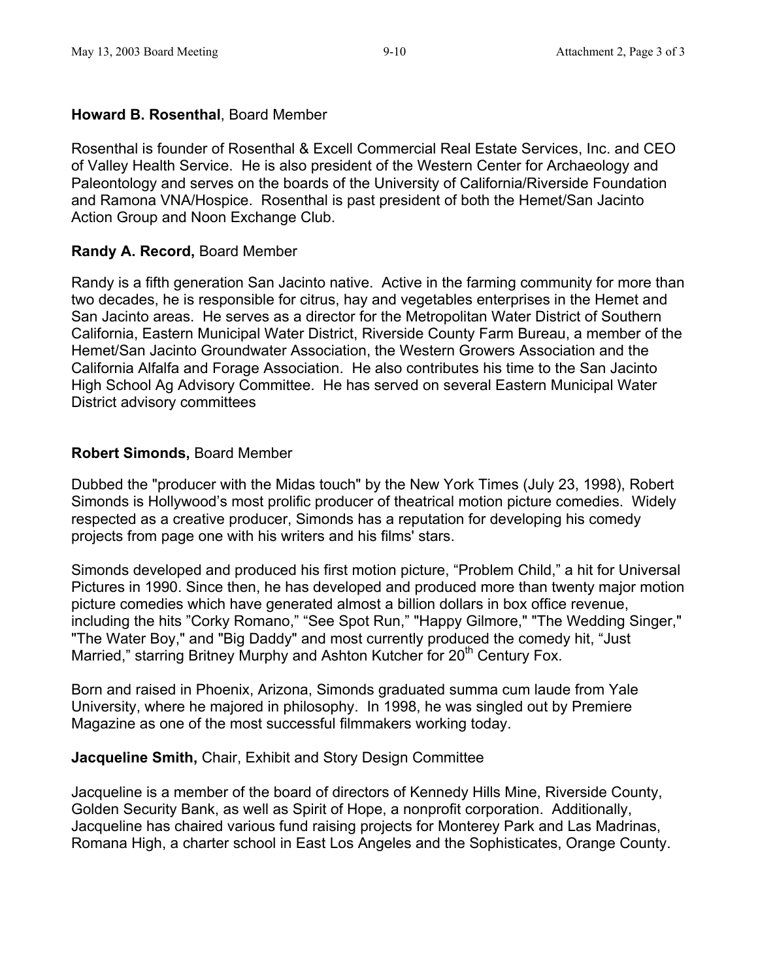## **Howard B. Rosenthal**, Board Member

Rosenthal is founder of Rosenthal & Excell Commercial Real Estate Services, Inc. and CEO of Valley Health Service. He is also president of the Western Center for Archaeology and Paleontology and serves on the boards of the University of California/Riverside Foundation and Ramona VNA/Hospice. Rosenthal is past president of both the Hemet/San Jacinto Action Group and Noon Exchange Club.

## **Randy A. Record,** Board Member

Randy is a fifth generation San Jacinto native. Active in the farming community for more than two decades, he is responsible for citrus, hay and vegetables enterprises in the Hemet and San Jacinto areas. He serves as a director for the Metropolitan Water District of Southern California, Eastern Municipal Water District, Riverside County Farm Bureau, a member of the Hemet/San Jacinto Groundwater Association, the Western Growers Association and the California Alfalfa and Forage Association. He also contributes his time to the San Jacinto High School Ag Advisory Committee. He has served on several Eastern Municipal Water District advisory committees

## **Robert Simonds,** Board Member

Dubbed the "producer with the Midas touch" by the New York Times (July 23, 1998), Robert Simonds is Hollywood's most prolific producer of theatrical motion picture comedies. Widely respected as a creative producer, Simonds has a reputation for developing his comedy projects from page one with his writers and his films' stars.

Simonds developed and produced his first motion picture, "Problem Child," a hit for Universal Pictures in 1990. Since then, he has developed and produced more than twenty major motion picture comedies which have generated almost a billion dollars in box office revenue, including the hits "Corky Romano," "See Spot Run," "Happy Gilmore," "The Wedding Singer," "The Water Boy," and "Big Daddy" and most currently produced the comedy hit, "Just Married," starring Britney Murphy and Ashton Kutcher for 20<sup>th</sup> Century Fox.

Born and raised in Phoenix, Arizona, Simonds graduated summa cum laude from Yale University, where he majored in philosophy. In 1998, he was singled out by Premiere Magazine as one of the most successful filmmakers working today.

### **Jacqueline Smith,** Chair, Exhibit and Story Design Committee

Jacqueline is a member of the board of directors of Kennedy Hills Mine, Riverside County, Golden Security Bank, as well as Spirit of Hope, a nonprofit corporation. Additionally, Jacqueline has chaired various fund raising projects for Monterey Park and Las Madrinas, Romana High, a charter school in East Los Angeles and the Sophisticates, Orange County.